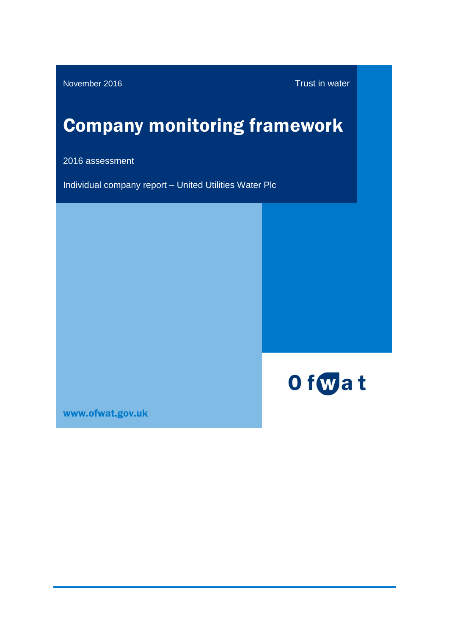November 2016 Trust in water

# Company monitoring framework

2016 assessment

Individual company report – United Utilities Water Plc



[www.ofwat.gov.uk](http://www.ofwat.gov.uk/)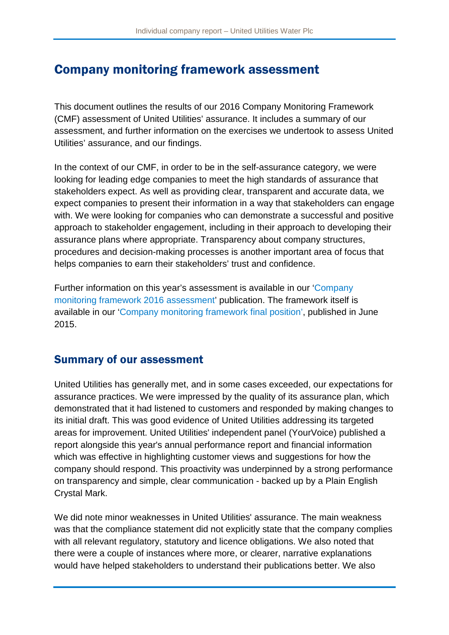# Company monitoring framework assessment

This document outlines the results of our 2016 Company Monitoring Framework (CMF) assessment of United Utilities' assurance. It includes a summary of our assessment, and further information on the exercises we undertook to assess United Utilities' assurance, and our findings.

In the context of our CMF, in order to be in the self-assurance category, we were looking for leading edge companies to meet the high standards of assurance that stakeholders expect. As well as providing clear, transparent and accurate data, we expect companies to present their information in a way that stakeholders can engage with. We were looking for companies who can demonstrate a successful and positive approach to stakeholder engagement, including in their approach to developing their assurance plans where appropriate. Transparency about company structures, procedures and decision-making processes is another important area of focus that helps companies to earn their stakeholders' trust and confidence.

Further information on this year's assessment is available in our ['Company](http://www.ofwat.gov.uk/regulated-companies/comparing-companies/information-quality/)  [monitoring framework 2016 assessment'](http://www.ofwat.gov.uk/regulated-companies/comparing-companies/information-quality/) publication. The framework itself is available in our ['Company monitoring framework final position'](http://www.ofwat.gov.uk/publication/company-monitoring-framework-final-position/), published in June 2015.

# Summary of our assessment

United Utilities has generally met, and in some cases exceeded, our expectations for assurance practices. We were impressed by the quality of its assurance plan, which demonstrated that it had listened to customers and responded by making changes to its initial draft. This was good evidence of United Utilities addressing its targeted areas for improvement. United Utilities' independent panel (YourVoice) published a report alongside this year's annual performance report and financial information which was effective in highlighting customer views and suggestions for how the company should respond. This proactivity was underpinned by a strong performance on transparency and simple, clear communication - backed up by a Plain English Crystal Mark.

We did note minor weaknesses in United Utilities' assurance. The main weakness was that the compliance statement did not explicitly state that the company complies with all relevant regulatory, statutory and licence obligations. We also noted that there were a couple of instances where more, or clearer, narrative explanations would have helped stakeholders to understand their publications better. We also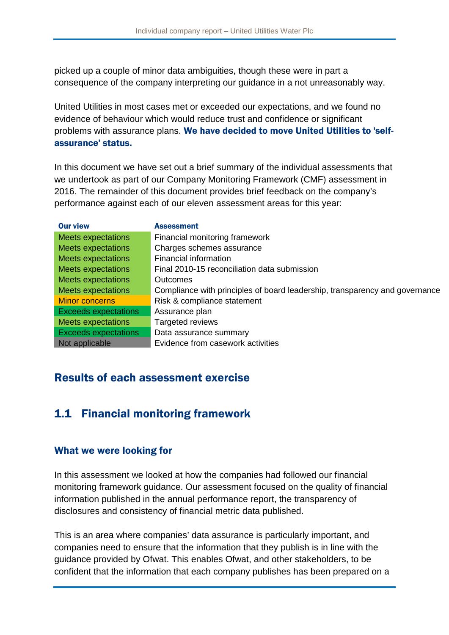picked up a couple of minor data ambiguities, though these were in part a consequence of the company interpreting our guidance in a not unreasonably way.

United Utilities in most cases met or exceeded our expectations, and we found no evidence of behaviour which would reduce trust and confidence or significant problems with assurance plans. We have decided to move United Utilities to 'selfassurance' status.

In this document we have set out a brief summary of the individual assessments that we undertook as part of our Company Monitoring Framework (CMF) assessment in 2016. The remainder of this document provides brief feedback on the company's performance against each of our eleven assessment areas for this year:

| <b>Our view</b>             | <b>Assessment</b>                                                           |
|-----------------------------|-----------------------------------------------------------------------------|
| <b>Meets expectations</b>   | Financial monitoring framework                                              |
| <b>Meets expectations</b>   | Charges schemes assurance                                                   |
| <b>Meets expectations</b>   | Financial information                                                       |
| <b>Meets expectations</b>   | Final 2010-15 reconciliation data submission                                |
| <b>Meets expectations</b>   | Outcomes                                                                    |
| <b>Meets expectations</b>   | Compliance with principles of board leadership, transparency and governance |
| <b>Minor concerns</b>       | Risk & compliance statement                                                 |
| <b>Exceeds expectations</b> | Assurance plan                                                              |
| <b>Meets expectations</b>   | <b>Targeted reviews</b>                                                     |
| <b>Exceeds expectations</b> | Data assurance summary                                                      |
| Not applicable              | Evidence from casework activities                                           |

# Results of each assessment exercise

# 1.1 Financial monitoring framework

## What we were looking for

In this assessment we looked at how the companies had followed our financial monitoring framework guidance. Our assessment focused on the quality of financial information published in the annual performance report, the transparency of disclosures and consistency of financial metric data published.

This is an area where companies' data assurance is particularly important, and companies need to ensure that the information that they publish is in line with the guidance provided by Ofwat. This enables Ofwat, and other stakeholders, to be confident that the information that each company publishes has been prepared on a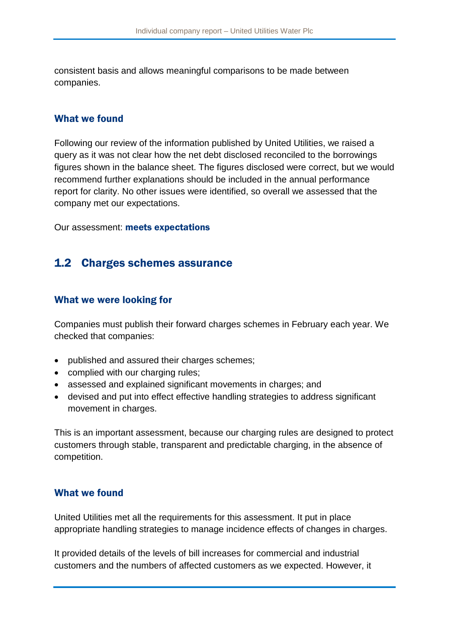consistent basis and allows meaningful comparisons to be made between companies.

#### What we found

Following our review of the information published by United Utilities, we raised a query as it was not clear how the net debt disclosed reconciled to the borrowings figures shown in the balance sheet. The figures disclosed were correct, but we would recommend further explanations should be included in the annual performance report for clarity. No other issues were identified, so overall we assessed that the company met our expectations.

Our assessment: meets expectations

# 1.2 Charges schemes assurance

## What we were looking for

Companies must publish their forward charges schemes in February each year. We checked that companies:

- published and assured their charges schemes;
- complied with our charging rules;
- assessed and explained significant movements in charges; and
- devised and put into effect effective handling strategies to address significant movement in charges.

This is an important assessment, because our charging rules are designed to protect customers through stable, transparent and predictable charging, in the absence of competition.

## What we found

United Utilities met all the requirements for this assessment. It put in place appropriate handling strategies to manage incidence effects of changes in charges.

It provided details of the levels of bill increases for commercial and industrial customers and the numbers of affected customers as we expected. However, it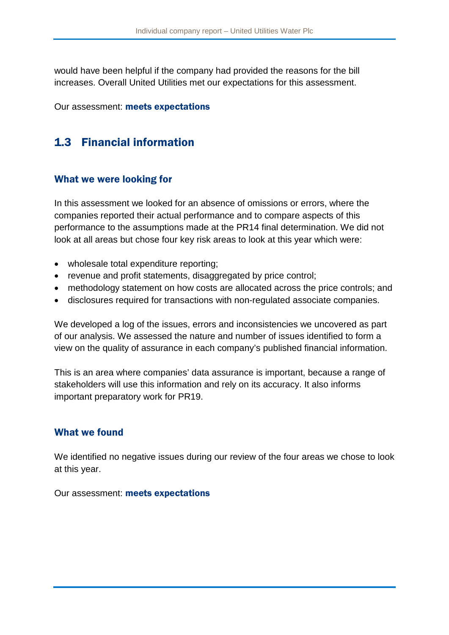would have been helpful if the company had provided the reasons for the bill increases. Overall United Utilities met our expectations for this assessment.

Our assessment: meets expectations

# 1.3 Financial information

#### What we were looking for

In this assessment we looked for an absence of omissions or errors, where the companies reported their actual performance and to compare aspects of this performance to the assumptions made at the PR14 final determination. We did not look at all areas but chose four key risk areas to look at this year which were:

- wholesale total expenditure reporting;
- revenue and profit statements, disaggregated by price control;
- methodology statement on how costs are allocated across the price controls; and
- disclosures required for transactions with non-regulated associate companies.

We developed a log of the issues, errors and inconsistencies we uncovered as part of our analysis. We assessed the nature and number of issues identified to form a view on the quality of assurance in each company's published financial information.

This is an area where companies' data assurance is important, because a range of stakeholders will use this information and rely on its accuracy. It also informs important preparatory work for PR19.

## What we found

We identified no negative issues during our review of the four areas we chose to look at this year.

Our assessment: meets expectations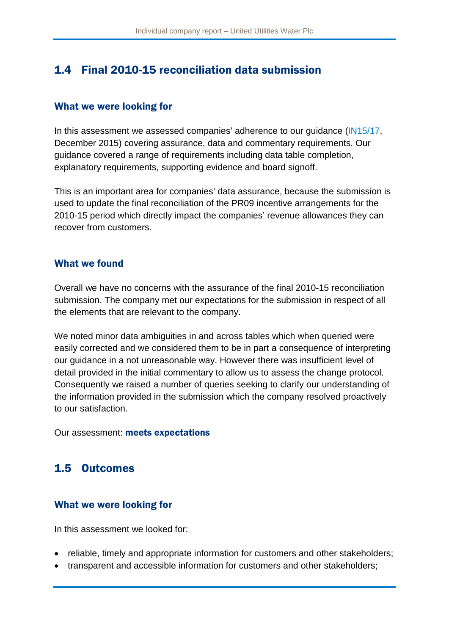# 1.4 Final 2010-15 reconciliation data submission

## What we were looking for

In this assessment we assessed companies' adherence to our guidance [\(IN15/17,](http://www.ofwat.gov.uk/publication/in-1517-expectations-for-company-reporting-of-2014-15-actual-performance-against-2010-15-incentive-mechanisms/) December 2015) covering assurance, data and commentary requirements. Our guidance covered a range of requirements including data table completion, explanatory requirements, supporting evidence and board signoff.

This is an important area for companies' data assurance, because the submission is used to update the final reconciliation of the PR09 incentive arrangements for the 2010-15 period which directly impact the companies' revenue allowances they can recover from customers.

## What we found

Overall we have no concerns with the assurance of the final 2010-15 reconciliation submission. The company met our expectations for the submission in respect of all the elements that are relevant to the company.

We noted minor data ambiguities in and across tables which when queried were easily corrected and we considered them to be in part a consequence of interpreting our guidance in a not unreasonable way. However there was insufficient level of detail provided in the initial commentary to allow us to assess the change protocol. Consequently we raised a number of queries seeking to clarify our understanding of the information provided in the submission which the company resolved proactively to our satisfaction.

Our assessment: meets expectations

# 1.5 Outcomes

# What we were looking for

In this assessment we looked for:

- reliable, timely and appropriate information for customers and other stakeholders;
- transparent and accessible information for customers and other stakeholders;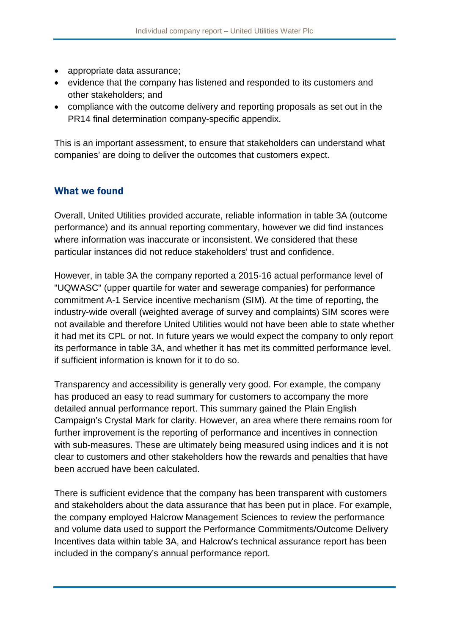- appropriate data assurance;
- evidence that the company has listened and responded to its customers and other stakeholders; and
- compliance with the outcome delivery and reporting proposals as set out in the PR14 final determination company-specific appendix.

This is an important assessment, to ensure that stakeholders can understand what companies' are doing to deliver the outcomes that customers expect.

## What we found

Overall, United Utilities provided accurate, reliable information in table 3A (outcome performance) and its annual reporting commentary, however we did find instances where information was inaccurate or inconsistent. We considered that these particular instances did not reduce stakeholders' trust and confidence.

However, in table 3A the company reported a 2015-16 actual performance level of "UQWASC" (upper quartile for water and sewerage companies) for performance commitment A-1 Service incentive mechanism (SIM). At the time of reporting, the industry-wide overall (weighted average of survey and complaints) SIM scores were not available and therefore United Utilities would not have been able to state whether it had met its CPL or not. In future years we would expect the company to only report its performance in table 3A, and whether it has met its committed performance level, if sufficient information is known for it to do so.

Transparency and accessibility is generally very good. For example, the company has produced an easy to read summary for customers to accompany the more detailed annual performance report. This summary gained the Plain English Campaign's Crystal Mark for clarity. However, an area where there remains room for further improvement is the reporting of performance and incentives in connection with sub-measures. These are ultimately being measured using indices and it is not clear to customers and other stakeholders how the rewards and penalties that have been accrued have been calculated.

There is sufficient evidence that the company has been transparent with customers and stakeholders about the data assurance that has been put in place. For example, the company employed Halcrow Management Sciences to review the performance and volume data used to support the Performance Commitments/Outcome Delivery Incentives data within table 3A, and Halcrow's technical assurance report has been included in the company's annual performance report.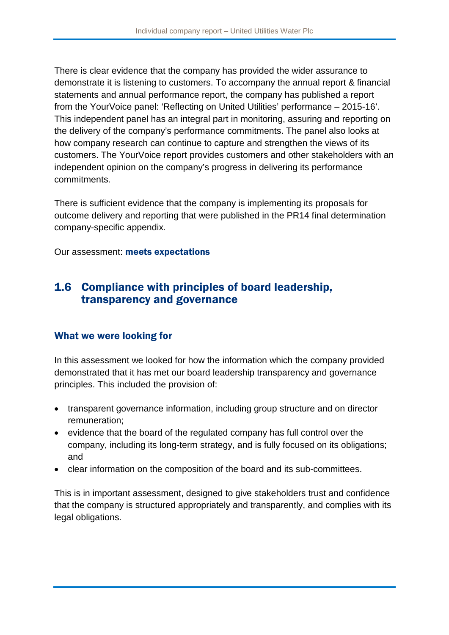There is clear evidence that the company has provided the wider assurance to demonstrate it is listening to customers. To accompany the annual report & financial statements and annual performance report, the company has published a report from the YourVoice panel: 'Reflecting on United Utilities' performance – 2015-16'. This independent panel has an integral part in monitoring, assuring and reporting on the delivery of the company's performance commitments. The panel also looks at how company research can continue to capture and strengthen the views of its customers. The YourVoice report provides customers and other stakeholders with an independent opinion on the company's progress in delivering its performance commitments.

There is sufficient evidence that the company is implementing its proposals for outcome delivery and reporting that were published in the PR14 final determination company-specific appendix.

Our assessment: meets expectations

# 1.6 Compliance with principles of board leadership, transparency and governance

# What we were looking for

In this assessment we looked for how the information which the company provided demonstrated that it has met our board leadership transparency and governance principles. This included the provision of:

- transparent governance information, including group structure and on director remuneration;
- evidence that the board of the regulated company has full control over the company, including its long-term strategy, and is fully focused on its obligations; and
- clear information on the composition of the board and its sub-committees.

This is in important assessment, designed to give stakeholders trust and confidence that the company is structured appropriately and transparently, and complies with its legal obligations.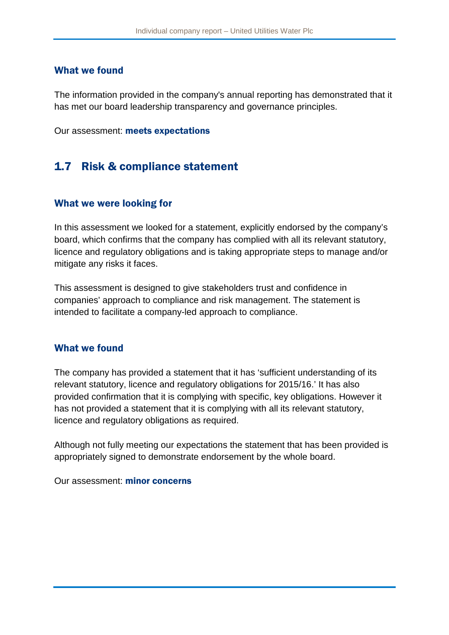#### What we found

The information provided in the company's annual reporting has demonstrated that it has met our board leadership transparency and governance principles.

Our assessment: meets expectations

# 1.7 Risk & compliance statement

#### What we were looking for

In this assessment we looked for a statement, explicitly endorsed by the company's board, which confirms that the company has complied with all its relevant statutory, licence and regulatory obligations and is taking appropriate steps to manage and/or mitigate any risks it faces.

This assessment is designed to give stakeholders trust and confidence in companies' approach to compliance and risk management. The statement is intended to facilitate a company-led approach to compliance.

#### What we found

The company has provided a statement that it has 'sufficient understanding of its relevant statutory, licence and regulatory obligations for 2015/16.' It has also provided confirmation that it is complying with specific, key obligations. However it has not provided a statement that it is complying with all its relevant statutory, licence and regulatory obligations as required.

Although not fully meeting our expectations the statement that has been provided is appropriately signed to demonstrate endorsement by the whole board.

Our assessment: minor concerns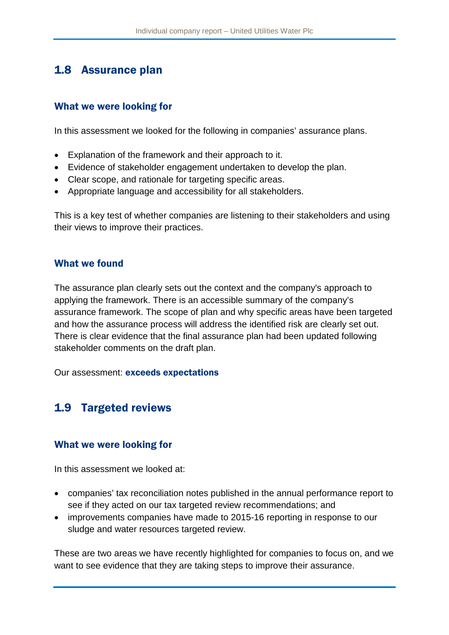# 1.8 Assurance plan

## What we were looking for

In this assessment we looked for the following in companies' assurance plans.

- Explanation of the framework and their approach to it.
- Evidence of stakeholder engagement undertaken to develop the plan.
- Clear scope, and rationale for targeting specific areas.
- Appropriate language and accessibility for all stakeholders.

This is a key test of whether companies are listening to their stakeholders and using their views to improve their practices.

## What we found

The assurance plan clearly sets out the context and the company's approach to applying the framework. There is an accessible summary of the company's assurance framework. The scope of plan and why specific areas have been targeted and how the assurance process will address the identified risk are clearly set out. There is clear evidence that the final assurance plan had been updated following stakeholder comments on the draft plan.

Our assessment: exceeds expectations

# 1.9 Targeted reviews

## What we were looking for

In this assessment we looked at:

- companies' tax reconciliation notes published in the annual performance report to see if they acted on our tax targeted review recommendations; and
- improvements companies have made to 2015-16 reporting in response to our sludge and water resources targeted review.

These are two areas we have recently highlighted for companies to focus on, and we want to see evidence that they are taking steps to improve their assurance.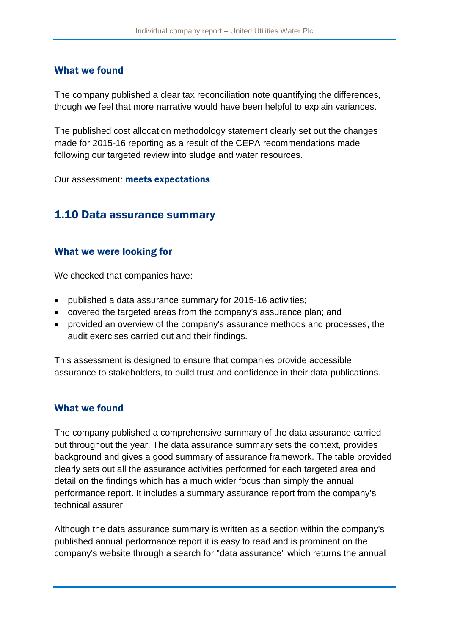#### What we found

The company published a clear tax reconciliation note quantifying the differences, though we feel that more narrative would have been helpful to explain variances.

The published cost allocation methodology statement clearly set out the changes made for 2015-16 reporting as a result of the CEPA recommendations made following our targeted review into sludge and water resources.

Our assessment: meets expectations

# 1.10 Data assurance summary

#### What we were looking for

We checked that companies have:

- published a data assurance summary for 2015-16 activities;
- covered the targeted areas from the company's assurance plan; and
- provided an overview of the company's assurance methods and processes, the audit exercises carried out and their findings.

This assessment is designed to ensure that companies provide accessible assurance to stakeholders, to build trust and confidence in their data publications.

#### What we found

The company published a comprehensive summary of the data assurance carried out throughout the year. The data assurance summary sets the context, provides background and gives a good summary of assurance framework. The table provided clearly sets out all the assurance activities performed for each targeted area and detail on the findings which has a much wider focus than simply the annual performance report. It includes a summary assurance report from the company's technical assurer.

Although the data assurance summary is written as a section within the company's published annual performance report it is easy to read and is prominent on the company's website through a search for "data assurance" which returns the annual